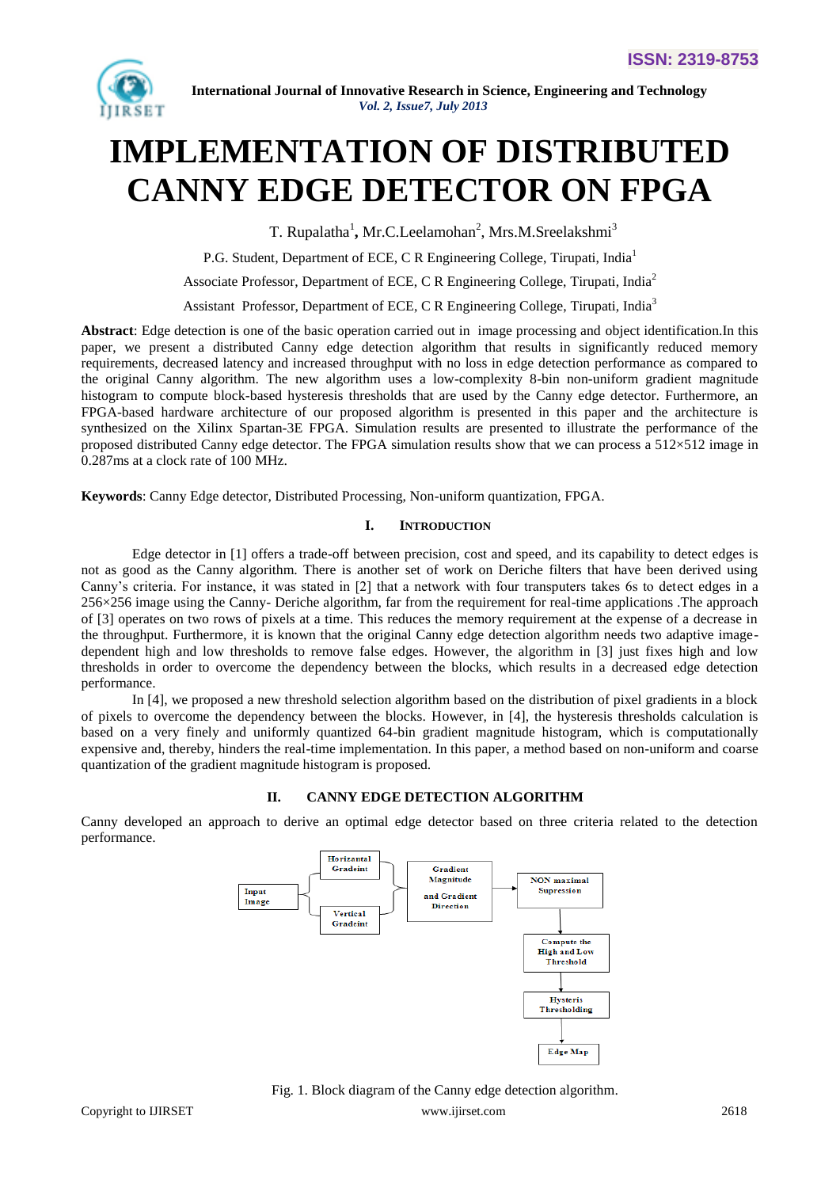

# **IMPLEMENTATION OF DISTRIBUTED CANNY EDGE DETECTOR ON FPGA**

T. Rupalatha<sup>1</sup>, Mr.C.Leelamohan<sup>2</sup>, Mrs.M.Sreelakshmi<sup>3</sup>

P.G. Student, Department of ECE, C R Engineering College, Tirupati, India<sup>1</sup>

Associate Professor, Department of ECE, C R Engineering College, Tirupati, India<sup>2</sup>

Assistant Professor, Department of ECE, C R Engineering College, Tirupati, India<sup>3</sup>

**Abstract**: Edge detection is one of the basic operation carried out in image processing and object identification.In this paper, we present a distributed Canny edge detection algorithm that results in significantly reduced memory requirements, decreased latency and increased throughput with no loss in edge detection performance as compared to the original Canny algorithm. The new algorithm uses a low-complexity 8-bin non-uniform gradient magnitude histogram to compute block-based hysteresis thresholds that are used by the Canny edge detector. Furthermore, an FPGA-based hardware architecture of our proposed algorithm is presented in this paper and the architecture is synthesized on the Xilinx Spartan*-*3E FPGA. Simulation results are presented to illustrate the performance of the proposed distributed Canny edge detector. The FPGA simulation results show that we can process a 512×512 image in 0.287ms at a clock rate of 100 MHz.

**Keywords**: Canny Edge detector, Distributed Processing, Non-uniform quantization, FPGA.

#### **I. INTRODUCTION**

Edge detector in [1] offers a trade-off between precision, cost and speed, and its capability to detect edges is not as good as the Canny algorithm. There is another set of work on Deriche filters that have been derived using Canny's criteria. For instance, it was stated in [2] that a network with four transputers takes 6s to detect edges in a 256×256 image using the Canny- Deriche algorithm, far from the requirement for real-time applications .The approach of [3] operates on two rows of pixels at a time. This reduces the memory requirement at the expense of a decrease in the throughput. Furthermore, it is known that the original Canny edge detection algorithm needs two adaptive imagedependent high and low thresholds to remove false edges. However, the algorithm in [3] just fixes high and low thresholds in order to overcome the dependency between the blocks, which results in a decreased edge detection performance.

In [4], we proposed a new threshold selection algorithm based on the distribution of pixel gradients in a block of pixels to overcome the dependency between the blocks. However, in [4], the hysteresis thresholds calculation is based on a very finely and uniformly quantized 64-bin gradient magnitude histogram, which is computationally expensive and, thereby, hinders the real-time implementation. In this paper, a method based on non-uniform and coarse quantization of the gradient magnitude histogram is proposed.

#### **II. CANNY EDGE DETECTION ALGORITHM**

Canny developed an approach to derive an optimal edge detector based on three criteria related to the detection performance.



Fig. 1. Block diagram of the Canny edge detection algorithm.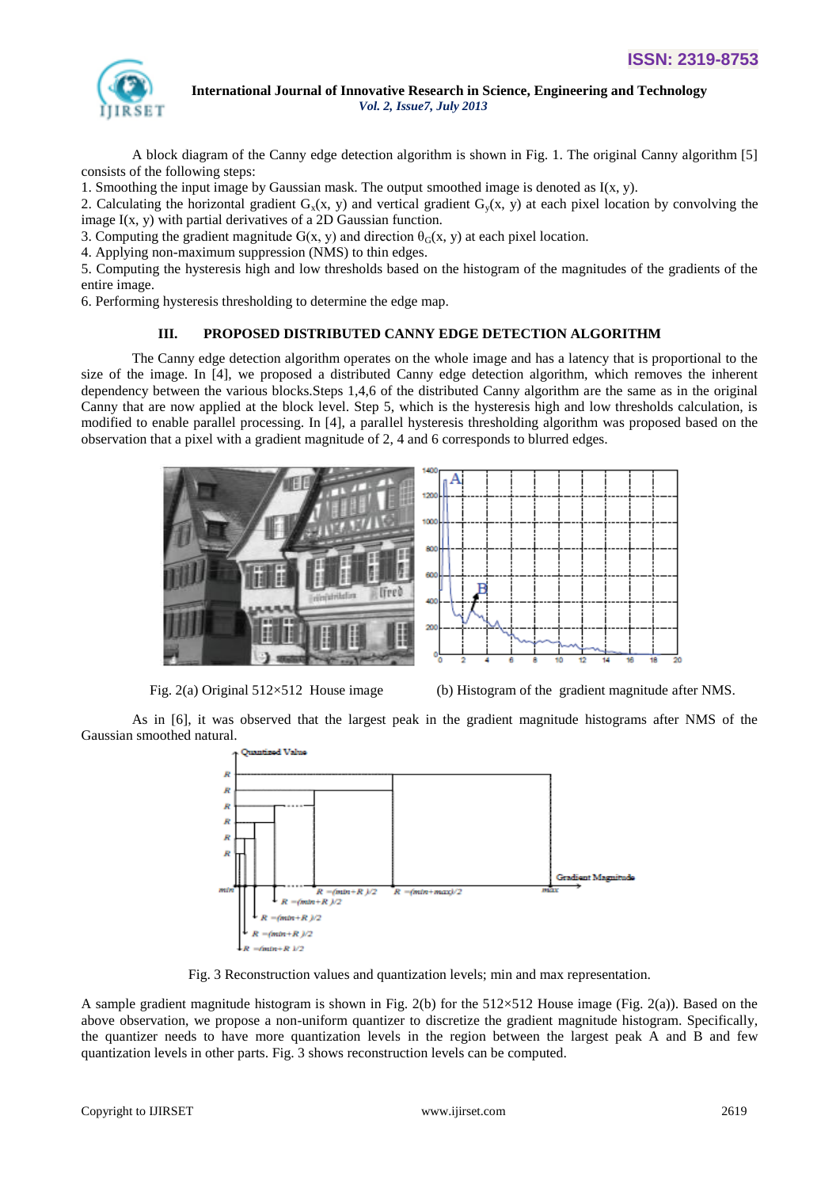

A block diagram of the Canny edge detection algorithm is shown in Fig. 1. The original Canny algorithm [5] consists of the following steps:

1. Smoothing the input image by Gaussian mask. The output smoothed image is denoted as  $I(x, y)$ .

2. Calculating the horizontal gradient  $G_x(x, y)$  and vertical gradient  $G_y(x, y)$  at each pixel location by convolving the image  $I(x, y)$  with partial derivatives of a 2D Gaussian function.

3. Computing the gradient magnitude  $G(x, y)$  and direction  $\theta_G(x, y)$  at each pixel location.

4. Applying non-maximum suppression (NMS) to thin edges.

5. Computing the hysteresis high and low thresholds based on the histogram of the magnitudes of the gradients of the entire image.

6. Performing hysteresis thresholding to determine the edge map.

## **III. PROPOSED DISTRIBUTED CANNY EDGE DETECTION ALGORITHM**

The Canny edge detection algorithm operates on the whole image and has a latency that is proportional to the size of the image. In [4], we proposed a distributed Canny edge detection algorithm, which removes the inherent dependency between the various blocks.Steps 1,4,6 of the distributed Canny algorithm are the same as in the original Canny that are now applied at the block level. Step 5, which is the hysteresis high and low thresholds calculation, is modified to enable parallel processing. In [4], a parallel hysteresis thresholding algorithm was proposed based on the observation that a pixel with a gradient magnitude of 2, 4 and 6 corresponds to blurred edges.



Fig. 2(a) Original 512×512 House image (b) Histogram of the gradient magnitude after NMS.

As in [6], it was observed that the largest peak in the gradient magnitude histograms after NMS of the Gaussian smoothed natural.



Fig. 3 Reconstruction values and quantization levels; min and max representation.

A sample gradient magnitude histogram is shown in Fig. 2(b) for the 512×512 House image (Fig. 2(a)). Based on the above observation, we propose a non-uniform quantizer to discretize the gradient magnitude histogram. Specifically, the quantizer needs to have more quantization levels in the region between the largest peak A and B and few quantization levels in other parts. Fig. 3 shows reconstruction levels can be computed.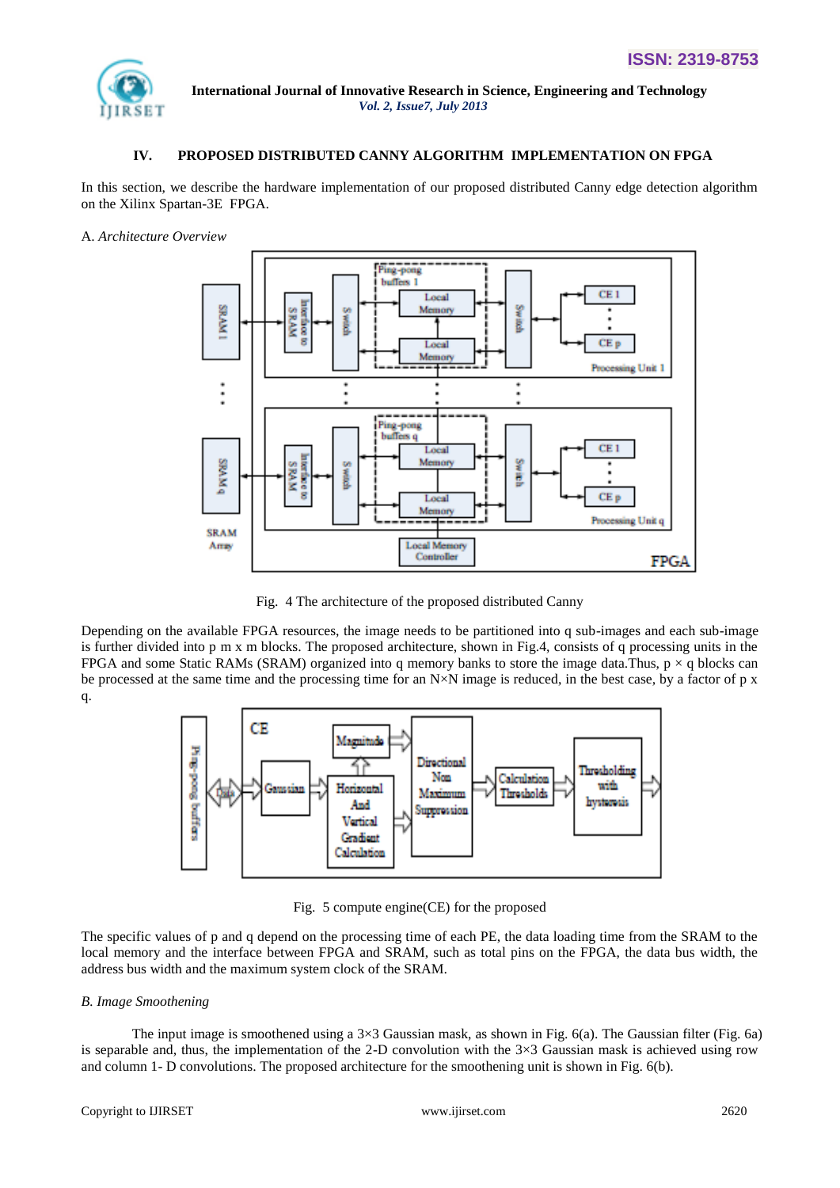

## **IV. PROPOSED DISTRIBUTED CANNY ALGORITHM IMPLEMENTATION ON FPGA**

In this section, we describe the hardware implementation of our proposed distributed Canny edge detection algorithm on the Xilinx Spartan*-*3E FPGA.

A. *Architecture Overview*



Fig. 4 The architecture of the proposed distributed Canny

Depending on the available FPGA resources, the image needs to be partitioned into q sub-images and each sub-image is further divided into p m x m blocks. The proposed architecture, shown in Fig.4, consists of q processing units in the FPGA and some Static RAMs (SRAM) organized into q memory banks to store the image data.Thus,  $p \times q$  blocks can be processed at the same time and the processing time for an N×N image is reduced, in the best case, by a factor of p x q.



Fig. 5 compute engine(CE) for the proposed

The specific values of p and q depend on the processing time of each PE, the data loading time from the SRAM to the local memory and the interface between FPGA and SRAM, such as total pins on the FPGA, the data bus width, the address bus width and the maximum system clock of the SRAM.

#### *B. Image Smoothening*

The input image is smoothened using a 3×3 Gaussian mask, as shown in Fig. 6(a). The Gaussian filter (Fig. 6a) is separable and, thus, the implementation of the 2-D convolution with the  $3\times3$  Gaussian mask is achieved using row and column 1- D convolutions. The proposed architecture for the smoothening unit is shown in Fig. 6(b).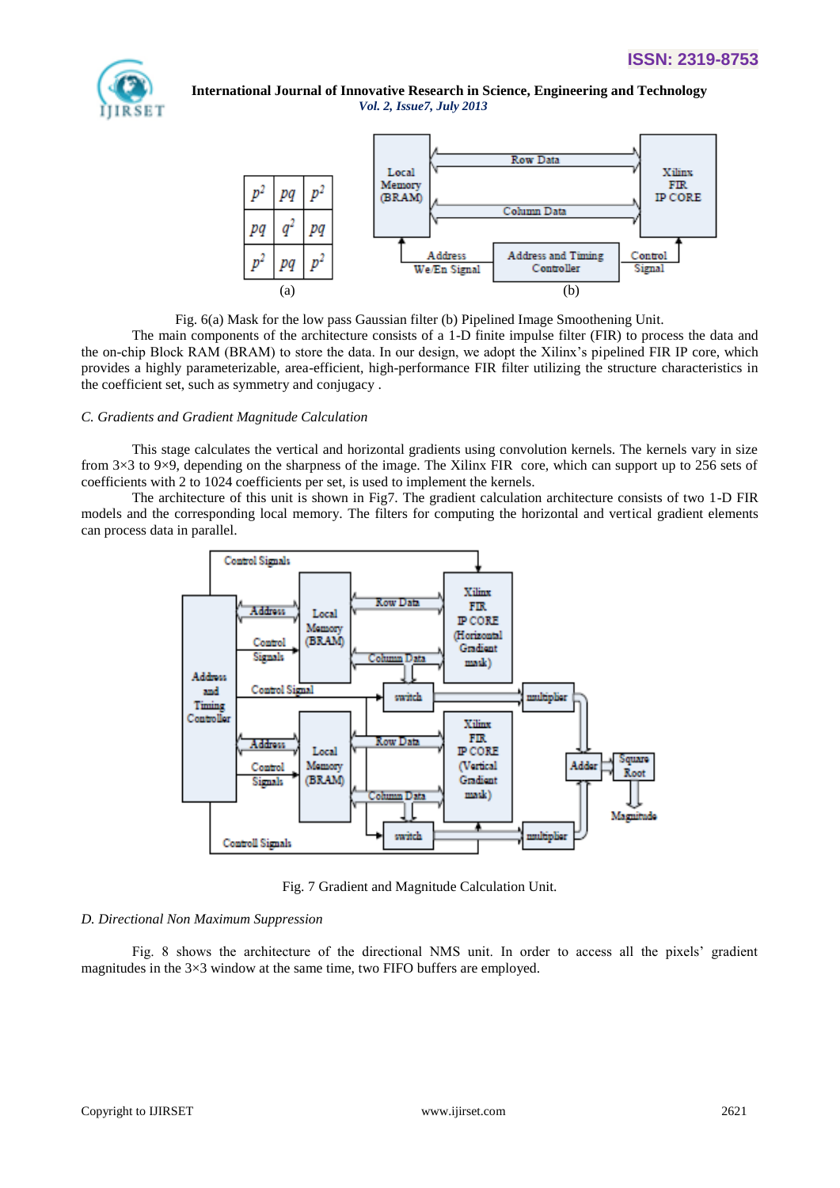



Fig. 6(a) Mask for the low pass Gaussian filter (b) Pipelined Image Smoothening Unit.

The main components of the architecture consists of a 1-D finite impulse filter (FIR) to process the data and the on-chip Block RAM (BRAM) to store the data. In our design, we adopt the Xilinx's pipelined FIR IP core, which provides a highly parameterizable, area-efficient, high-performance FIR filter utilizing the structure characteristics in the coefficient set, such as symmetry and conjugacy .

#### *C. Gradients and Gradient Magnitude Calculation*

This stage calculates the vertical and horizontal gradients using convolution kernels. The kernels vary in size from 3×3 to 9×9, depending on the sharpness of the image. The Xilinx FIR core, which can support up to 256 sets of coefficients with 2 to 1024 coefficients per set, is used to implement the kernels.

The architecture of this unit is shown in Fig7. The gradient calculation architecture consists of two 1-D FIR models and the corresponding local memory. The filters for computing the horizontal and vertical gradient elements can process data in parallel.



Fig. 7 Gradient and Magnitude Calculation Unit.

#### *D. Directional Non Maximum Suppression*

Fig. 8 shows the architecture of the directional NMS unit. In order to access all the pixels' gradient magnitudes in the 3×3 window at the same time, two FIFO buffers are employed.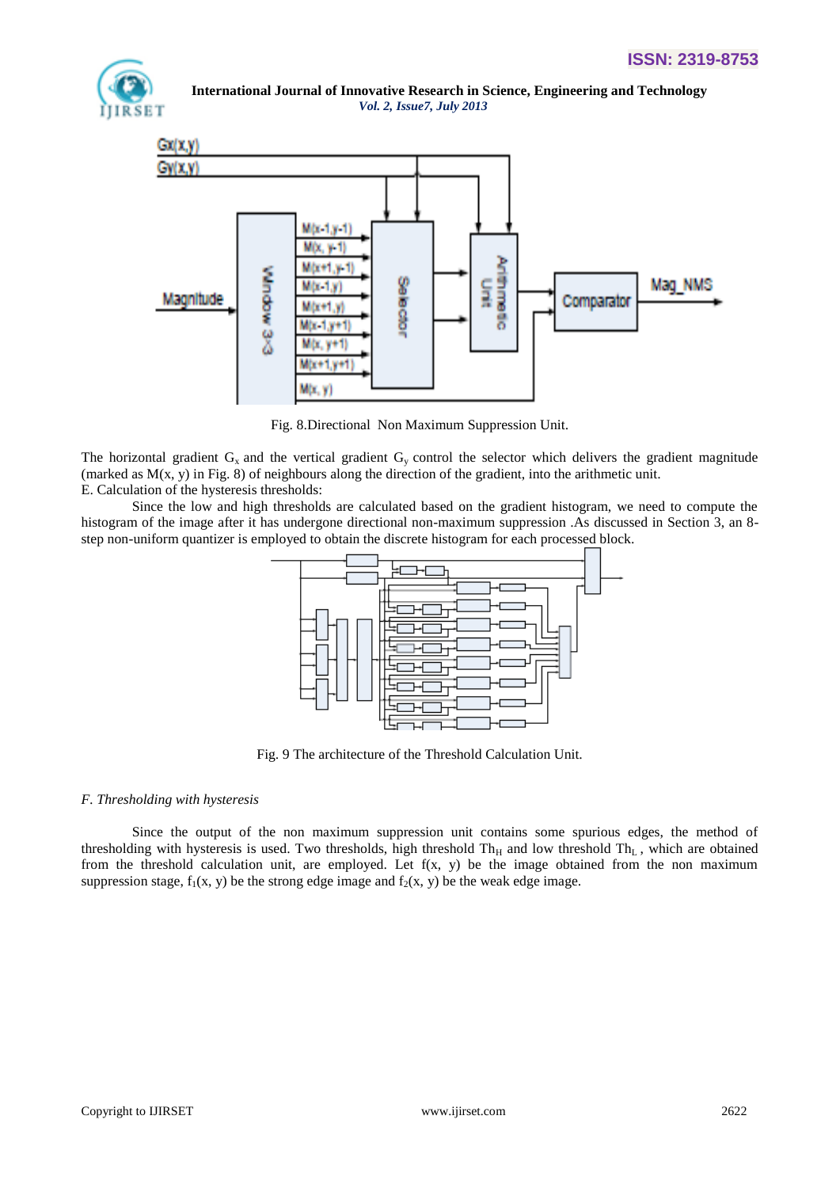



Fig. 8.Directional Non Maximum Suppression Unit.

The horizontal gradient  $G_x$  and the vertical gradient  $G_y$  control the selector which delivers the gradient magnitude (marked as  $M(x, y)$  in Fig. 8) of neighbours along the direction of the gradient, into the arithmetic unit. E. Calculation of the hysteresis thresholds:

Since the low and high thresholds are calculated based on the gradient histogram, we need to compute the histogram of the image after it has undergone directional non-maximum suppression .As discussed in Section 3, an 8 step non-uniform quantizer is employed to obtain the discrete histogram for each processed block.



Fig. 9 The architecture of the Threshold Calculation Unit.

#### *F. Thresholding with hysteresis*

Since the output of the non maximum suppression unit contains some spurious edges, the method of thresholding with hysteresis is used. Two thresholds, high threshold  $Th_H$  and low threshold  $Th_L$ , which are obtained from the threshold calculation unit, are employed. Let f(x, y) be the image obtained from the non maximum suppression stage,  $f_1(x, y)$  be the strong edge image and  $f_2(x, y)$  be the weak edge image.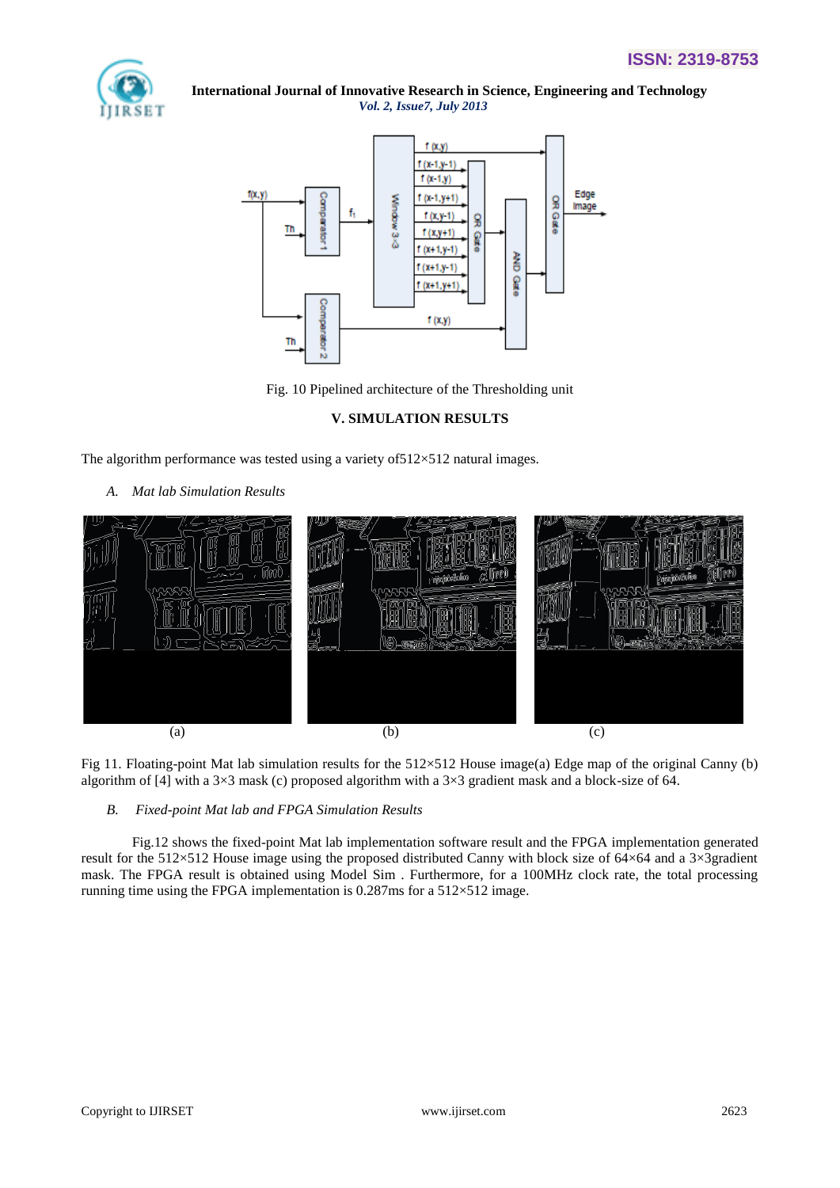



Fig. 10 Pipelined architecture of the Thresholding unit

## **V. SIMULATION RESULTS**

The algorithm performance was tested using a variety of  $512\times512$  natural images.

*A. Mat lab Simulation Results*



Fig 11. Floating-point Mat lab simulation results for the 512×512 House image(a) Edge map of the original Canny (b) algorithm of [4] with a  $3\times3$  mask (c) proposed algorithm with a  $3\times3$  gradient mask and a block-size of 64.

## *B. Fixed-point Mat lab and FPGA Simulation Results*

Fig.12 shows the fixed-point Mat lab implementation software result and the FPGA implementation generated result for the 512×512 House image using the proposed distributed Canny with block size of 64×64 and a 3×3gradient mask. The FPGA result is obtained using Model Sim . Furthermore, for a 100MHz clock rate, the total processing running time using the FPGA implementation is  $0.287$ ms for a  $512\times512$  image.